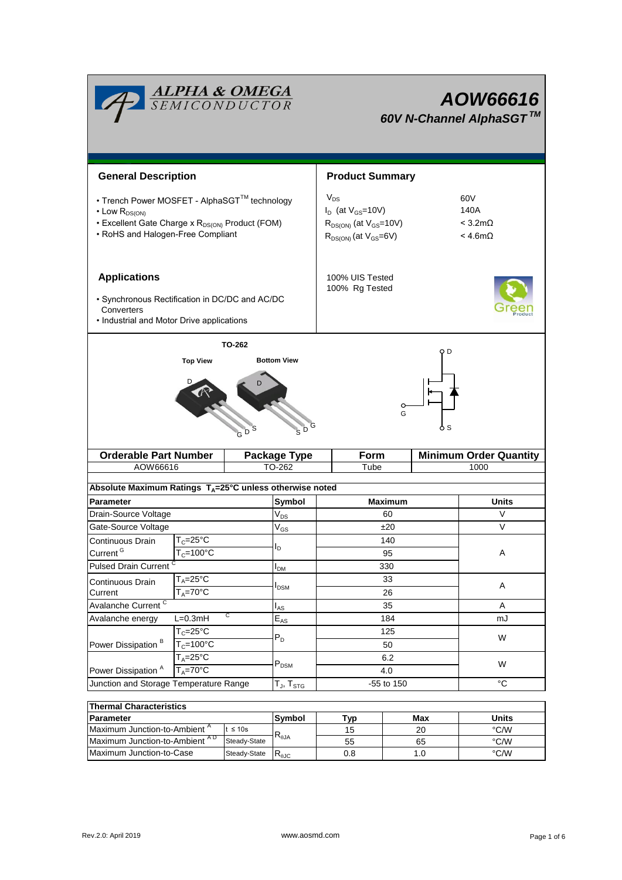| <b>ALPHA &amp; OMEGA</b><br>SEMICONDUCTOR                                                                                                                                    |                                                     |                                                                      |                                                                                                           | AOW66616<br>60V N-Channel AlphaSGT™                        |                               |                 |  |  |
|------------------------------------------------------------------------------------------------------------------------------------------------------------------------------|-----------------------------------------------------|----------------------------------------------------------------------|-----------------------------------------------------------------------------------------------------------|------------------------------------------------------------|-------------------------------|-----------------|--|--|
| <b>General Description</b>                                                                                                                                                   |                                                     |                                                                      | <b>Product Summary</b>                                                                                    |                                                            |                               |                 |  |  |
| • Trench Power MOSFET - AlphaSGT™ technology<br>$\cdot$ Low $R_{DS(ON)}$<br>• Excellent Gate Charge x R <sub>DS(ON)</sub> Product (FOM)<br>• RoHS and Halogen-Free Compliant |                                                     |                                                                      | $V_{DS}$<br>$I_D$ (at $V_{GS}$ =10V)<br>$R_{DS(ON)}$ (at $V_{GS}$ =10V)<br>$R_{DS(ON)}$ (at $V_{GS}=6V$ ) | 60V<br>140A<br>$< 3.2 \text{m}\Omega$<br>$<$ 4.6m $\Omega$ |                               |                 |  |  |
| <b>Applications</b><br>· Synchronous Rectification in DC/DC and AC/DC<br>Converters<br>• Industrial and Motor Drive applications                                             |                                                     |                                                                      |                                                                                                           | 100% UIS Tested<br>100% Rg Tested                          |                               |                 |  |  |
|                                                                                                                                                                              | <b>Top View</b>                                     | TO-262<br><b>Bottom View</b>                                         |                                                                                                           |                                                            | O D                           |                 |  |  |
|                                                                                                                                                                              |                                                     | $S^D$<br>D                                                           |                                                                                                           | G                                                          | ò S                           |                 |  |  |
|                                                                                                                                                                              | <b>Orderable Part Number</b><br><b>Package Type</b> |                                                                      |                                                                                                           | Form                                                       | <b>Minimum Order Quantity</b> |                 |  |  |
| AOW66616                                                                                                                                                                     |                                                     | TO-262                                                               |                                                                                                           | Tube                                                       |                               | 1000            |  |  |
|                                                                                                                                                                              |                                                     | Absolute Maximum Ratings T <sub>A</sub> =25°C unless otherwise noted |                                                                                                           |                                                            |                               |                 |  |  |
| Parameter                                                                                                                                                                    |                                                     | Symbol                                                               |                                                                                                           | <b>Maximum</b>                                             |                               | <b>Units</b>    |  |  |
| Drain-Source Voltage                                                                                                                                                         |                                                     | $\rm V_{DS}$                                                         |                                                                                                           | 60                                                         |                               | V               |  |  |
| Gate-Source Voltage                                                                                                                                                          |                                                     | $\mathrm{V}_{\mathrm{GS}}$                                           |                                                                                                           | ±20                                                        |                               | V               |  |  |
| Continuous Drain                                                                                                                                                             | $T_c = 25^{\circ} \overline{C}$                     | l <sub>D</sub>                                                       |                                                                                                           | 140                                                        |                               |                 |  |  |
| Current <sup>G</sup>                                                                                                                                                         | $T_c = 100^{\circ}C$                                | $I_{DM}$                                                             |                                                                                                           | 95                                                         |                               | Α               |  |  |
|                                                                                                                                                                              | <b>Pulsed Drain Current</b>                         |                                                                      |                                                                                                           | 330                                                        |                               |                 |  |  |
| $T_A = 25$ °C<br>Continuous Drain                                                                                                                                            |                                                     | $I_{DSM}$                                                            |                                                                                                           | 33                                                         |                               | Α               |  |  |
| $T_A = 70$ °C<br>Current<br>Avalanche Current <sup>C</sup>                                                                                                                   |                                                     |                                                                      | 26                                                                                                        |                                                            | A                             |                 |  |  |
| С<br>Avalanche energy<br>$L=0.3mH$                                                                                                                                           |                                                     | $I_{AS}$<br>$\mathsf{E}_{\mathsf{AS}}$                               |                                                                                                           | 35<br>184                                                  |                               | mJ              |  |  |
|                                                                                                                                                                              | $T_c = 25$ °C                                       |                                                                      |                                                                                                           | 125<br>50                                                  |                               | W               |  |  |
| Power Dissipation <sup>B</sup>                                                                                                                                               | $T_c = 100^{\circ}$ C                               | $P_D$                                                                |                                                                                                           |                                                            |                               |                 |  |  |
|                                                                                                                                                                              | $T_A = 25^{\circ}C$                                 |                                                                      |                                                                                                           | 6.2                                                        |                               |                 |  |  |
| $T_A = 70$ °C<br>Power Dissipation <sup>A</sup>                                                                                                                              |                                                     | $\mathsf{P}_\mathsf{DSM}$                                            |                                                                                                           | 4.0                                                        |                               | W               |  |  |
| Junction and Storage Temperature Range                                                                                                                                       |                                                     | $\mathsf{T}_{\mathsf{J}}, \mathsf{T}_{\mathsf{STG}}$                 |                                                                                                           | -55 to 150                                                 |                               | $\rm ^{\circ}C$ |  |  |
| <b>Thermal Characteristics</b>                                                                                                                                               |                                                     |                                                                      |                                                                                                           |                                                            |                               |                 |  |  |

| <b>Thermal Characteristics</b>            |              |                        |     |       |      |  |  |
|-------------------------------------------|--------------|------------------------|-----|-------|------|--|--|
| <b>Parameter</b>                          | Symbol       | Tvp                    | Max | Units |      |  |  |
| Maximum Junction-to-Ambient <sup>"</sup>  | $t \leq 10s$ |                        | 15  | 20    | °C/W |  |  |
| Maximum Junction-to-Ambient <sup>AD</sup> | Steady-State | $R_{\theta$ JA         | 55  | 65    | °C/W |  |  |
| Maximum Junction-to-Case                  | Steady-State | $R_{\theta \text{JC}}$ | 0.8 | 1.U   | °C/W |  |  |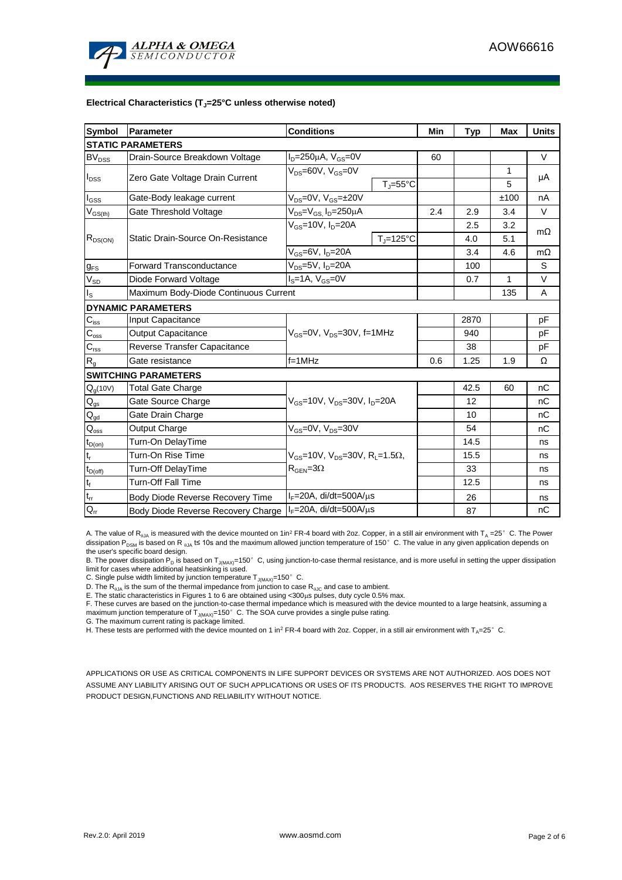

#### **Electrical Characteristics (TJ=25°C unless otherwise noted)**

| <b>Symbol</b>                          | <b>Parameter</b>                      | <b>Conditions</b>                                            |     |      | Max  | <b>Units</b> |  |  |  |
|----------------------------------------|---------------------------------------|--------------------------------------------------------------|-----|------|------|--------------|--|--|--|
| <b>Typ</b><br><b>STATIC PARAMETERS</b> |                                       |                                                              |     |      |      |              |  |  |  |
| $BV_{DSS}$                             | Drain-Source Breakdown Voltage        | $I_D = 250 \mu A$ , $V_{GS} = 0V$                            | 60  |      |      | $\vee$       |  |  |  |
| $I_{DSS}$                              | Zero Gate Voltage Drain Current       | $V_{DS}$ =60V, $V_{GS}$ =0V                                  |     |      | 1    | μA           |  |  |  |
|                                        |                                       | $T_i = 55^{\circ}C$                                          |     |      | 5    |              |  |  |  |
| l <sub>GSS</sub>                       | Gate-Body leakage current             | $V_{DS} = 0V$ , $V_{GS} = \pm 20V$                           |     |      | ±100 | nA           |  |  |  |
| $\rm V_{GS(th)}$                       | Gate Threshold Voltage                | $V_{DS} = V_{GS}$ , $I_D = 250 \mu A$                        | 2.4 | 2.9  | 3.4  | $\vee$       |  |  |  |
| $R_{DS(ON)}$                           |                                       | $V_{GS}$ =10V, $I_{D}$ =20A                                  |     | 2.5  | 3.2  | $m\Omega$    |  |  |  |
|                                        | Static Drain-Source On-Resistance     | $T_J = 125$ °C                                               |     | 4.0  | 5.1  |              |  |  |  |
|                                        |                                       | $V_{GS}$ =6V, $I_D$ =20A                                     |     | 3.4  | 4.6  | $m\Omega$    |  |  |  |
| $g_{FS}$                               | <b>Forward Transconductance</b>       | $V_{DS}$ =5V, I <sub>D</sub> =20A                            |     |      |      | S            |  |  |  |
| $V_{SD}$                               | Diode Forward Voltage                 | $IS=1A, VGS=0V$                                              |     | 0.7  | 1    | V            |  |  |  |
| ıs.                                    | Maximum Body-Diode Continuous Current |                                                              |     | 135  | A    |              |  |  |  |
|                                        | <b>DYNAMIC PARAMETERS</b>             |                                                              |     |      |      |              |  |  |  |
| $C_{\underline{\text{iss}}}$           | Input Capacitance                     |                                                              |     | 2870 |      | pF           |  |  |  |
| $C_{\rm oss}$                          | <b>Output Capacitance</b>             | $V_{GS}$ =0V, $V_{DS}$ =30V, f=1MHz                          |     | 940  |      | pF           |  |  |  |
| $C_{rss}$                              | Reverse Transfer Capacitance          |                                                              |     | 38   |      | pF           |  |  |  |
| $R_g$                                  | Gate resistance                       | $f = 1$ MHz                                                  | 0.6 | 1.25 | 1.9  | Ω            |  |  |  |
| <b>SWITCHING PARAMETERS</b>            |                                       |                                                              |     |      |      |              |  |  |  |
| $Q_q(10V)$                             | <b>Total Gate Charge</b>              |                                                              |     | 42.5 | 60   | nC           |  |  |  |
| $\mathsf{Q}_{\mathsf{gs}}$             | Gate Source Charge                    | $V_{GS}$ =10V, $V_{DS}$ =30V, $I_D$ =20A                     |     | 12   |      | nC           |  |  |  |
| $Q_{gd}$                               | Gate Drain Charge                     |                                                              |     | 10   |      | nC           |  |  |  |
| $Q_{\text{oss}}$                       | Output Charge                         | $V_{GS}$ =0V, $V_{DS}$ =30V                                  |     | 54   |      | nC           |  |  |  |
| $t_{D(on)}$                            | Turn-On DelayTime                     |                                                              |     | 14.5 |      | ns           |  |  |  |
| $\mathfrak{t}_{\mathsf{r}}$            | Turn-On Rise Time                     | $V_{GS}$ =10V, $V_{DS}$ =30V, R <sub>L</sub> =1.5 $\Omega$ , |     | 15.5 |      | ns           |  |  |  |
| $t_{D(off)}$                           | <b>Turn-Off DelayTime</b>             | $R_{\text{GFN}} = 3\Omega$                                   |     | 33   |      | ns           |  |  |  |
| $\mathfrak{t}_{\mathsf{f}}$            | Turn-Off Fall Time                    |                                                              |     | 12.5 |      | ns           |  |  |  |
| $\mathfrak{t}_{\text{rr}}$             | Body Diode Reverse Recovery Time      | $I_F = 20A$ , di/dt=500A/ $\mu$ s                            |     | 26   |      | ns           |  |  |  |
| $Q_{rr}$                               | Body Diode Reverse Recovery Charge    | $I_F$ =20A, di/dt=500A/ $\mu$ s                              |     | 87   |      | nC           |  |  |  |

A. The value of R<sub>0JA</sub> is measured with the device mounted on 1in<sup>2</sup> FR-4 board with 2oz. Copper, in a still air environment with T<sub>A</sub> =25°C. The Power dissipation P<sub>DSM</sub> is based on R <sub>0JA</sub> t≤ 10s and the maximum allowed junction temperature of 150°C. The value in any given application depends on the user's specific board design.

B. The power dissipation P<sub>D</sub> is based on T<sub>J(MAX)</sub>=150°C, using junction-to-case thermal resistance, and is more useful in setting the upper dissipation limit for cases where additional heatsinking is used.

C. Single pulse width limited by junction temperature  $T_{J(MAX)}$ =150°C.

D. The  $R_{AJA}$  is the sum of the thermal impedance from junction to case  $R_{AJC}$  and case to ambient.

E. The static characteristics in Figures 1 to 6 are obtained using <300 $\mu$ s pulses, duty cycle 0.5% max.

F. These curves are based on the junction-to-case thermal impedance which is measured with the device mounted to a large heatsink, assuming a maximum junction temperature of  $T_{J(MAX)}$ =150°C. The SOA curve provides a single pulse rating.

G. The maximum current rating is package limited.

H. These tests are performed with the device mounted on 1 in<sup>2</sup> FR-4 board with 2oz. Copper, in a still air environment with T<sub>A</sub>=25°C.

APPLICATIONS OR USE AS CRITICAL COMPONENTS IN LIFE SUPPORT DEVICES OR SYSTEMS ARE NOT AUTHORIZED. AOS DOES NOT ASSUME ANY LIABILITY ARISING OUT OF SUCH APPLICATIONS OR USES OF ITS PRODUCTS. AOS RESERVES THE RIGHT TO IMPROVE PRODUCT DESIGN,FUNCTIONS AND RELIABILITY WITHOUT NOTICE.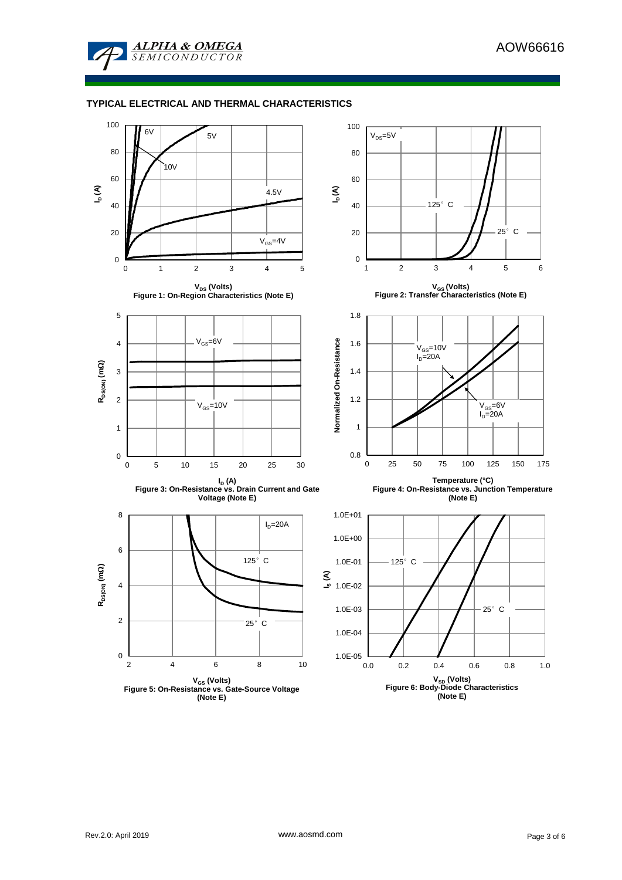

### **TYPICAL ELECTRICAL AND THERMAL CHARACTERISTICS**

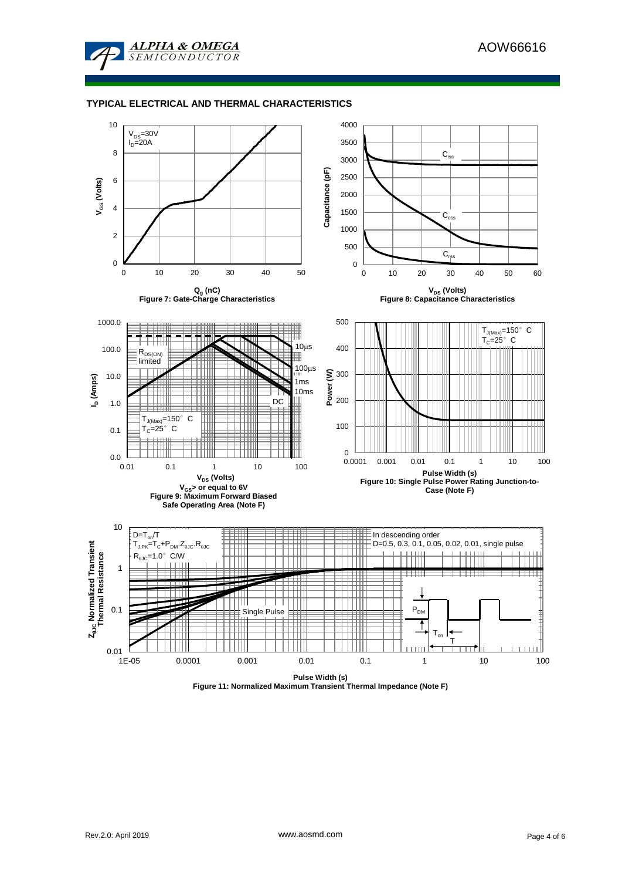

### **TYPICAL ELECTRICAL AND THERMAL CHARACTERISTICS**

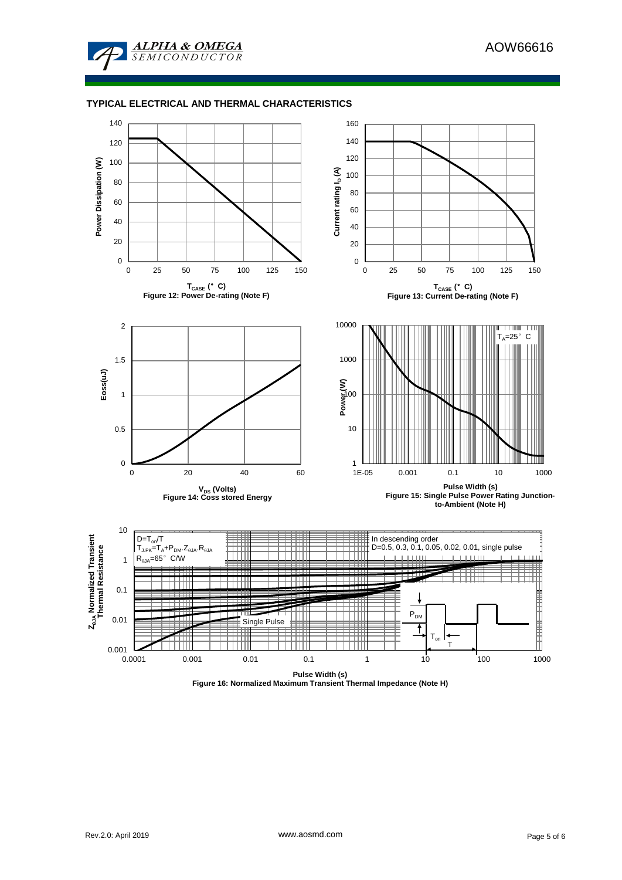

### **TYPICAL ELECTRICAL AND THERMAL CHARACTERISTICS**



**Figure 16: Normalized Maximum Transient Thermal Impedance (Note H)**